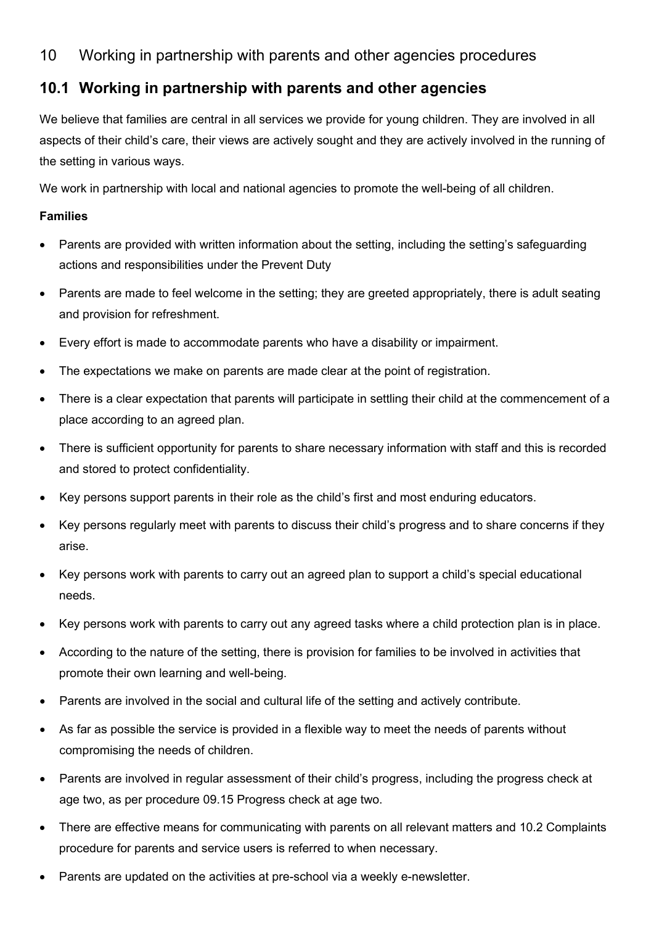# 10 Working in partnership with parents and other agencies procedures

## **10.1 Working in partnership with parents and other agencies**

We believe that families are central in all services we provide for young children. They are involved in all aspects of their child's care, their views are actively sought and they are actively involved in the running of the setting in various ways.

We work in partnership with local and national agencies to promote the well-being of all children.

### **Families**

- Parents are provided with written information about the setting, including the setting's safeguarding actions and responsibilities under the Prevent Duty
- Parents are made to feel welcome in the setting; they are greeted appropriately, there is adult seating and provision for refreshment.
- Every effort is made to accommodate parents who have a disability or impairment.
- The expectations we make on parents are made clear at the point of registration.
- There is a clear expectation that parents will participate in settling their child at the commencement of a place according to an agreed plan.
- There is sufficient opportunity for parents to share necessary information with staff and this is recorded and stored to protect confidentiality.
- Key persons support parents in their role as the child's first and most enduring educators.
- Key persons regularly meet with parents to discuss their child's progress and to share concerns if they arise.
- Key persons work with parents to carry out an agreed plan to support a child's special educational needs.
- Key persons work with parents to carry out any agreed tasks where a child protection plan is in place.
- According to the nature of the setting, there is provision for families to be involved in activities that promote their own learning and well-being.
- Parents are involved in the social and cultural life of the setting and actively contribute.
- As far as possible the service is provided in a flexible way to meet the needs of parents without compromising the needs of children.
- Parents are involved in regular assessment of their child's progress, including the progress check at age two, as per procedure 09.15 Progress check at age two.
- There are effective means for communicating with parents on all relevant matters and 10.2 Complaints procedure for parents and service users is referred to when necessary.
- Parents are updated on the activities at pre-school via a weekly e-newsletter.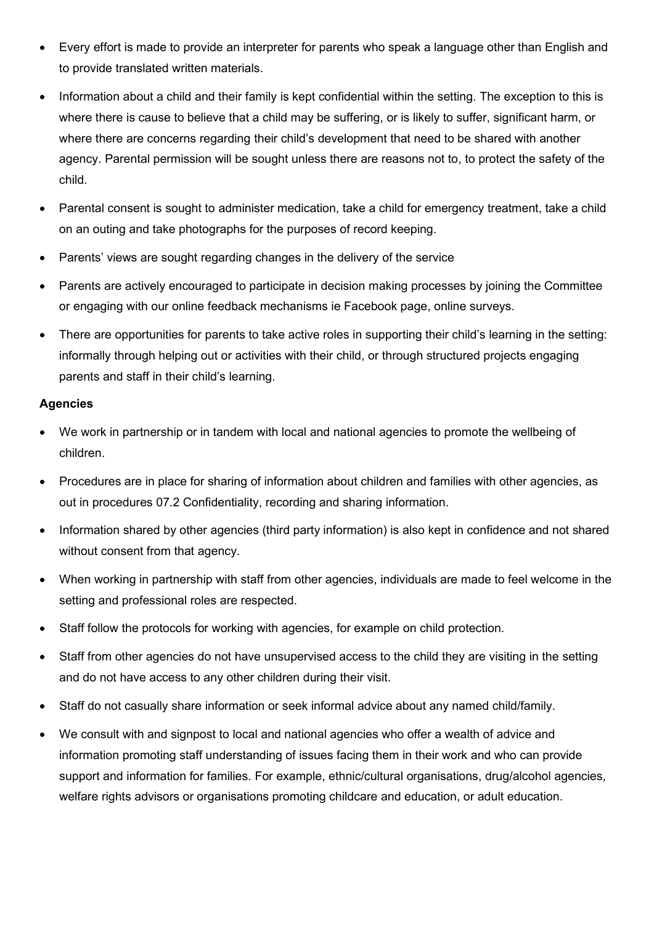- Every effort is made to provide an interpreter for parents who speak a language other than English and to provide translated written materials.
- Information about a child and their family is kept confidential within the setting. The exception to this is where there is cause to believe that a child may be suffering, or is likely to suffer, significant harm, or where there are concerns regarding their child's development that need to be shared with another agency. Parental permission will be sought unless there are reasons not to, to protect the safety of the child.
- Parental consent is sought to administer medication, take a child for emergency treatment, take a child on an outing and take photographs for the purposes of record keeping.
- Parents' views are sought regarding changes in the delivery of the service
- Parents are actively encouraged to participate in decision making processes by joining the Committee or engaging with our online feedback mechanisms ie Facebook page, online surveys.
- There are opportunities for parents to take active roles in supporting their child's learning in the setting: informally through helping out or activities with their child, or through structured projects engaging parents and staff in their child's learning.

### **Agencies**

- We work in partnership or in tandem with local and national agencies to promote the wellbeing of children.
- Procedures are in place for sharing of information about children and families with other agencies, as out in procedures 07.2 Confidentiality, recording and sharing information.
- Information shared by other agencies (third party information) is also kept in confidence and not shared without consent from that agency.
- When working in partnership with staff from other agencies, individuals are made to feel welcome in the setting and professional roles are respected.
- Staff follow the protocols for working with agencies, for example on child protection.
- Staff from other agencies do not have unsupervised access to the child they are visiting in the setting and do not have access to any other children during their visit.
- Staff do not casually share information or seek informal advice about any named child/family.
- We consult with and signpost to local and national agencies who offer a wealth of advice and information promoting staff understanding of issues facing them in their work and who can provide support and information for families. For example, ethnic/cultural organisations, drug/alcohol agencies, welfare rights advisors or organisations promoting childcare and education, or adult education.